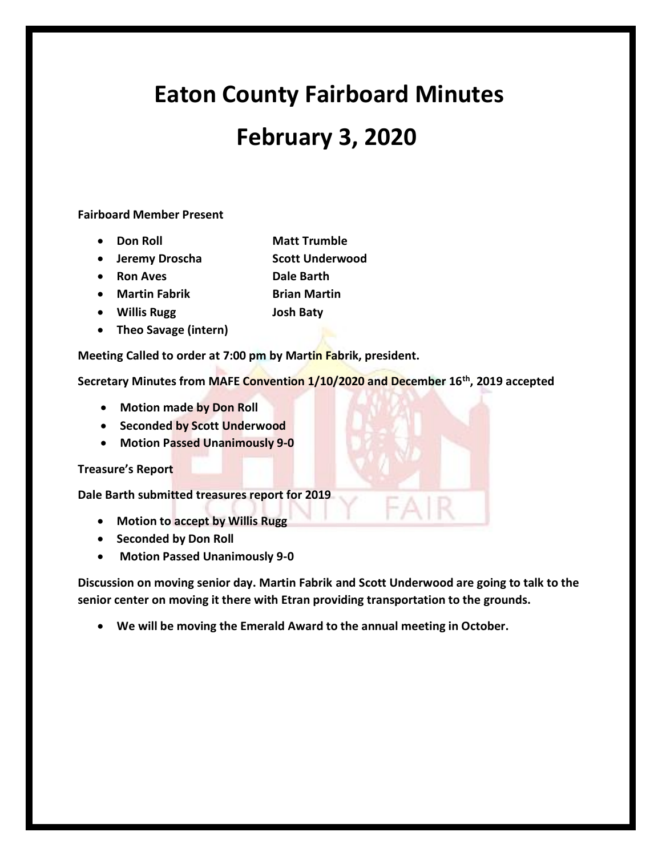# **Eaton County Fairboard Minutes**

## **February 3, 2020**

### **Fairboard Member Present**

- **Don Roll** Matt Trumble
- **Jeremy Droscha Scott Underwood**
- **Ron Aves Dale Barth**
- **Martin Fabrik Brian Martin**
- **Willis Rugg Josh Baty**
- **Theo Savage (intern)**

**Meeting Called to order at 7:00 pm by Martin Fabrik, president.**

**Secretary Minutes from MAFE Convention 1/10/2020 and December 16th, 2019 accepted**

- **Motion made by Don Roll**
- **Seconded by Scott Underwood**
- **Motion Passed Unanimously 9-0**

#### **Treasure's Report**

**Dale Barth submitted treasures report for 2019**

- **Motion to accept by Willis Rugg**
- **Seconded by Don Roll**
- **Motion Passed Unanimously 9-0**

**Discussion on moving senior day. Martin Fabrik and Scott Underwood are going to talk to the senior center on moving it there with Etran providing transportation to the grounds.**

FAIR

• **We will be moving the Emerald Award to the annual meeting in October.**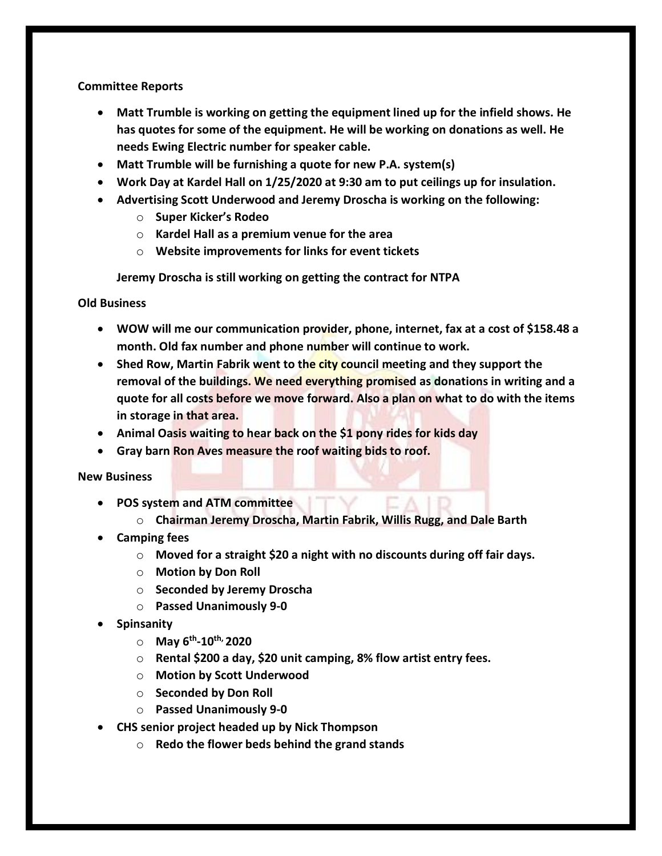#### **Committee Reports**

- **Matt Trumble is working on getting the equipment lined up for the infield shows. He has quotes for some of the equipment. He will be working on donations as well. He needs Ewing Electric number for speaker cable.**
- **Matt Trumble will be furnishing a quote for new P.A. system(s)**
- **Work Day at Kardel Hall on 1/25/2020 at 9:30 am to put ceilings up for insulation.**
- **Advertising Scott Underwood and Jeremy Droscha is working on the following:**
	- o **Super Kicker's Rodeo**
	- o **Kardel Hall as a premium venue for the area**
	- o **Website improvements for links for event tickets**

**Jeremy Droscha is still working on getting the contract for NTPA**

**Old Business**

- **WOW will me our communication provider, phone, internet, fax at a cost of \$158.48 a month. Old fax number and phone number will continue to work.**
- **Shed Row, Martin Fabrik went to the city council meeting and they support the removal of the buildings. We need everything promised as donations in writing and a quote for all costs before we move forward. Also a plan on what to do with the items in storage in that area.**
- **Animal Oasis waiting to hear back on the \$1 pony rides for kids day**
- **Gray barn Ron Aves measure the roof waiting bids to roof.**

**New Business**

- **POS system and ATM committee**
	- o **Chairman Jeremy Droscha, Martin Fabrik, Willis Rugg, and Dale Barth**
- **Camping fees**
	- o **Moved for a straight \$20 a night with no discounts during off fair days.**
	- o **Motion by Don Roll**
	- o **Seconded by Jeremy Droscha**
	- o **Passed Unanimously 9-0**
- **Spinsanity**
	- o **May 6th -10th, 2020**
	- o **Rental \$200 a day, \$20 unit camping, 8% flow artist entry fees.**
	- o **Motion by Scott Underwood**
	- o **Seconded by Don Roll**
	- o **Passed Unanimously 9-0**
- **CHS senior project headed up by Nick Thompson**
	- o **Redo the flower beds behind the grand stands**